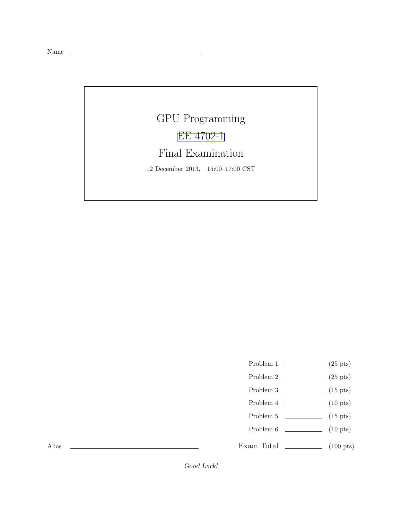Name

## GPU Programming [EE 4702-1](http://www.ece.lsu.edu/koppel/gpup/) Final Examination 12 December 2013, 15:00–17:00 CST

- Problem 1  $\qquad \qquad (25 \text{ pts})$
- Problem 2  $\qquad \qquad$  (25 pts)
- Problem 3  $\qquad \qquad$  (15 pts)
- Problem 4  $\qquad \qquad (10 \text{ pts})$
- Problem  $5 \t\t(15 \text{ pts})$
- Problem 6 (10 pts)
- Exam Total \_\_\_\_\_\_\_\_\_\_\_\_ (100 pts)

Alias

Good Luck!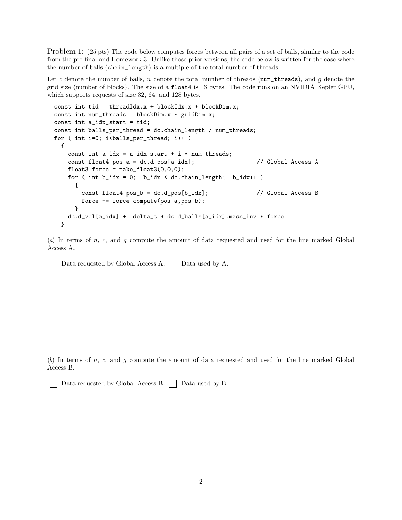Problem 1: (25 pts) The code below computes forces between all pairs of a set of balls, similar to the code from the pre-final and Homework 3. Unlike those prior versions, the code below is written for the case where the number of balls (chain\_length) is a multiple of the total number of threads.

Let c denote the number of balls, n denote the total number of threads (num\_threads), and g denote the grid size (number of blocks). The size of a float4 is 16 bytes. The code runs on an NVIDIA Kepler GPU, which supports requests of size 32, 64, and 128 bytes.

```
const int tid = threadIdx.x + blockIdx.x * blockDim.x;
const int num_threads = blockDim.x * gridDim.x;const int a_idx_start = tid;
const int balls_per_thread = dc.chain_length / num_threads;
for ( int i=0; i <br/>balls_per_thread; i++ )
 {
   const int a_idx = a_idx_start + i * num_threads;const float4 pos_a = dc.d_pos[a_idx]; // Global Access A
   float3 force = make_float3(0,0,0);
   for ( int b_idx = 0; b_idx < dc.chain_length; b_idx++ )
     {
       const float4 pos_b = dc.d_pos[b_idx]; // Global Access B
       force += force_compute(pos_a,pos_b);
     }
   dc.d_vel[a_idx] += delta_t * dc.d_balls[a_idx].mass_inv * force;
 }
```
(*a*) In terms of n, c, and g compute the amount of data requested and used for the line marked Global Access A.

Data requested by Global Access A.  $\Box$  Data used by A.

(*b*) In terms of n, c, and g compute the amount of data requested and used for the line marked Global Access B.

Data requested by Global Access B. Data used by B.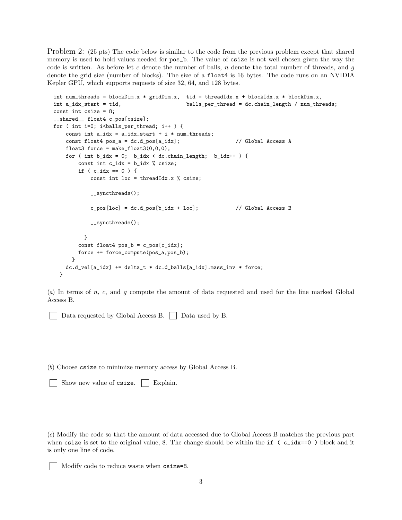Problem 2: (25 pts) The code below is similar to the code from the previous problem except that shared memory is used to hold values needed for  $pos_b$ . The value of csize is not well chosen given the way the code is written. As before let c denote the number of balls, n denote the total number of threads, and q denote the grid size (number of blocks). The size of a float4 is 16 bytes. The code runs on an NVIDIA Kepler GPU, which supports requests of size 32, 64, and 128 bytes.

```
int num_threads = blockDim.x * gridDim.x, tid = threadIdx.x + blockIdx.x * blockDim.x,
int a_idx_start = tid, balls_per_thread = dc.chain_length / num_threads;
const int csize = 8;
__shared__ float4 c_pos[csize];
for ( int i=0; i<br/>kballs_per_thread; i++ ) {
   const int a_idx = a_idx_start + i * num_threads;const float4 pos_a = dc.d_pos[a_idx]; // Global Access A
    float3 force = make_float3(0,0,0);
    for ( int b\_idx = 0; b\_idx < dc.data\_length; b\_idx++ ) {
       const int c_idx = b_idx % csize;
       if ( c\_idx == 0 ) {
           const int loc = threadIdx.x % csize;
           __syncthreads();
           c_p \cos[loc] = dc.d_p \cos[b_idx + loc]; // Global Access B
           __syncthreads();
         }
       const float4 pos_b = c_pos[c_idx];force += force_compute(pos_a,pos_b);
     }
   dc.d\_vel[a\_idx] += delta_t * dc.d\_balls[a\_idx]. mass_inv * force;
  }
```
(*a*) In terms of n, c, and g compute the amount of data requested and used for the line marked Global Access B.

Data requested by Global Access B.  $\Box$  Data used by B.

(*b*) Choose csize to minimize memory access by Global Access B.

Show new value of csize. | Explain.

(*c*) Modify the code so that the amount of data accessed due to Global Access B matches the previous part when csize is set to the original value, 8. The change should be within the if  $(c_i/dx==0)$  block and it is only one line of code.

```
Modify code to reduce waste when csize=8.
```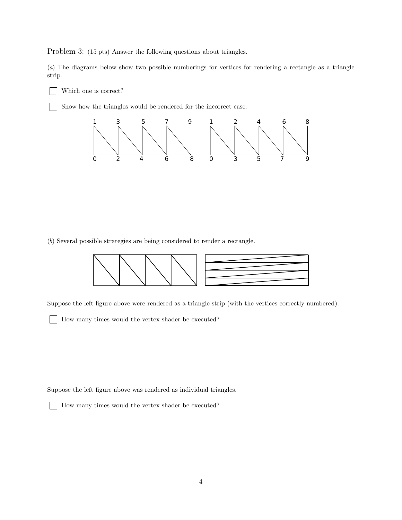Problem 3: (15 pts) Answer the following questions about triangles.

(*a*) The diagrams below show two possible numberings for vertices for rendering a rectangle as a triangle strip.

Which one is correct?

Show how the triangles would be rendered for the incorrect case.



(*b*) Several possible strategies are being considered to render a rectangle.



Suppose the left figure above were rendered as a triangle strip (with the vertices correctly numbered).

How many times would the vertex shader be executed?

Suppose the left figure above was rendered as individual triangles.

How many times would the vertex shader be executed?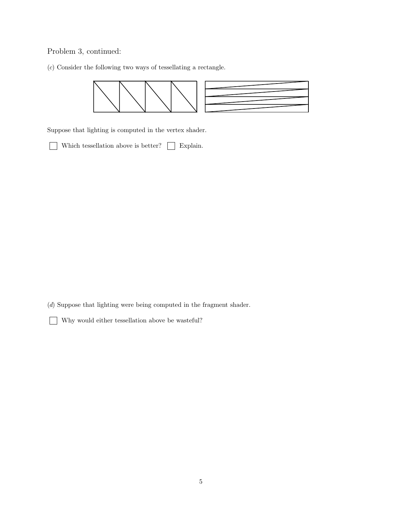## Problem 3, continued:

(*c*) Consider the following two ways of tessellating a rectangle.



Suppose that lighting is computed in the vertex shader.

 $\hfill\blacksquare$  <br> Which tessellation above is better?  $\hfill\blacksquare$  <br> Explain.

(*d*) Suppose that lighting were being computed in the fragment shader.

Why would either tessellation above be wasteful?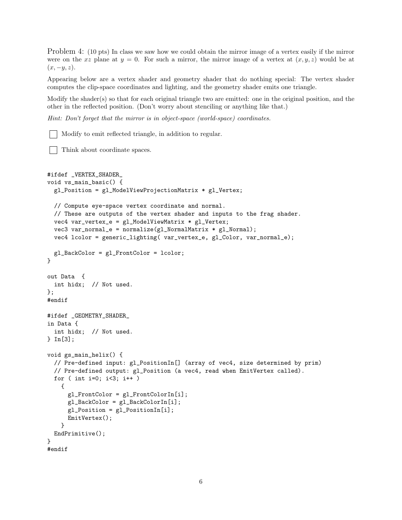Problem 4: (10 pts) In class we saw how we could obtain the mirror image of a vertex easily if the mirror were on the xz plane at  $y = 0$ . For such a mirror, the mirror image of a vertex at  $(x, y, z)$  would be at  $(x, -y, z)$ .

Appearing below are a vertex shader and geometry shader that do nothing special: The vertex shader computes the clip-space coordinates and lighting, and the geometry shader emits one triangle.

Modify the shader(s) so that for each original triangle two are emitted: one in the original position, and the other in the reflected position. (Don't worry about stenciling or anything like that.)

*Hint: Don't forget that the mirror is in object-space (world-space) coordinates.*

Modify to emit reflected triangle, in addition to regular.

Think about coordinate spaces.

```
#ifdef _VERTEX_SHADER_
void vs_main_basic() {
  gl_Position = gl_ModelViewProjectionMatrix * gl_Vertex;
  // Compute eye-space vertex coordinate and normal.
  // These are outputs of the vertex shader and inputs to the frag shader.
  vec4 var_vertex_e = gl_ModelViewMatrix * gl_Vertex;
  vec3 var_normal_e = normalize(gl_NormalMatrix * gl_Normal);
  vec4 lcolor = generic_lighting( var_vertex_e, gl_Color, var_normal_e);
 gl_BackColor = gl_FrontColor = lcolor;
}
out Data {
 int hidx; // Not used.
};
#endif
#ifdef _GEOMETRY_SHADER_
in Data {
 int hidx; // Not used.
} In[3];
void gs_main_helix() {
  // Pre-defined input: gl_PositionIn[] (array of vec4, size determined by prim)
  // Pre-defined output: gl_Position (a vec4, read when EmitVertex called).
  for ( int i=0; i<3; i++ )
   {
      gl_FrontColor = gl_FrontColorIn[i];
      gl_BackColor = gl_BackColorIn[i];
      gl_Position = gl_PositionIn[i];
      EmitVertex();
   }
 EndPrimitive();
}
#endif
```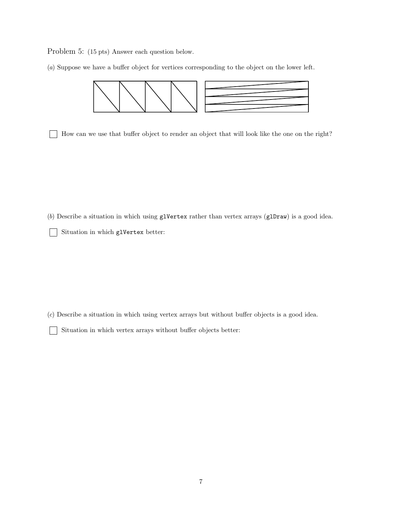Problem 5: (15 pts) Answer each question below.

(*a*) Suppose we have a buffer object for vertices corresponding to the object on the lower left.



How can we use that buffer object to render an object that will look like the one on the right?

(*b*) Describe a situation in which using glVertex rather than vertex arrays (glDraw) is a good idea.

Situation in which glVertex better:  $\mathbf{I}$ 

 $\mathbf{I}$ 

(*c*) Describe a situation in which using vertex arrays but without buffer objects is a good idea.

Situation in which vertex arrays without buffer objects better: